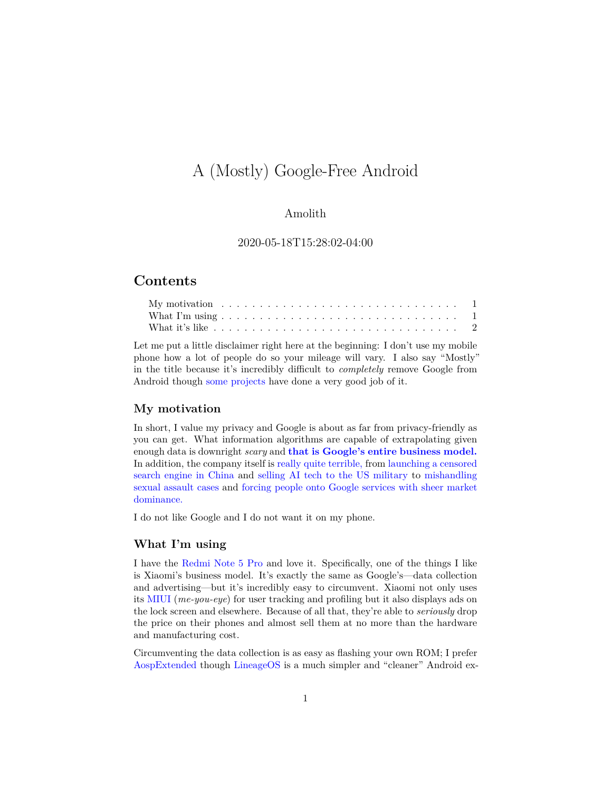# A (Mostly) Google-Free Android

## Amolith

#### 2020-05-18T15:28:02-04:00

# **Contents**

Let me put a little disclaimer right here at the beginning: I don't use my mobile phone how a lot of people do so your mileage will vary. I also say "Mostly" in the title because it's incredibly difficult to *completely* remove Google from Android though [some projects](https://www.replicant.us/) have done a very good job of it.

#### <span id="page-0-0"></span>**My motivation**

In short, I value my privacy and Google is about as far from privacy-friendly as you can get. What information algorithms are capable of extrapolating given enough data is downright *scary* and **[that is Google's entire business model.](https://www.eff.org/deeplinks/2020/03/google-says-it-doesnt-sell-your-data-heres-how-company-shares-monetizes-and)** In addition, the company itself is [really quite terrible,](https://www.alphabetworkers.org/resignation-letter/) from [launching a censored](https://theintercept.com/2018/08/01/google-china-search-engine-censorship/) [search engine in China](https://theintercept.com/2018/08/01/google-china-search-engine-censorship/) and [selling AI tech to the US military](https://gizmodo.com/google-employees-resign-in-protest-against-pentagon-con-1825729300) to [mishandling](https://gizmodo.com/massive-google-walkout-over-sexual-misconduct-marks-tec-1830157276) [sexual assault cases](https://gizmodo.com/massive-google-walkout-over-sexual-misconduct-marks-tec-1830157276) and [forcing people onto Google services with sheer market](https://www.cnbc.com/2018/07/10/eu-hits-alphabet-google-with-android-antitrust-fine.html) [dominance.](https://www.cnbc.com/2018/07/10/eu-hits-alphabet-google-with-android-antitrust-fine.html)

I do not like Google and I do not want it on my phone.

## <span id="page-0-1"></span>**What I'm using**

I have the [Redmi Note 5 Pro](https://www.mi.com/in/redmi-note-5-pro/) and love it. Specifically, one of the things I like is Xiaomi's business model. It's exactly the same as Google's—data collection and advertising—but it's incredibly easy to circumvent. Xiaomi not only uses its [MIUI](https://en.miui.com/) (*me-you-eye*) for user tracking and profiling but it also displays ads on the lock screen and elsewhere. Because of all that, they're able to *seriously* drop the price on their phones and almost sell them at no more than the hardware and manufacturing cost.

Circumventing the data collection is as easy as flashing your own ROM; I prefer [AospExtended](https://aospextended.com/) though [LineageOS](https://lineageos.org/) is a much simpler and "cleaner" Android ex